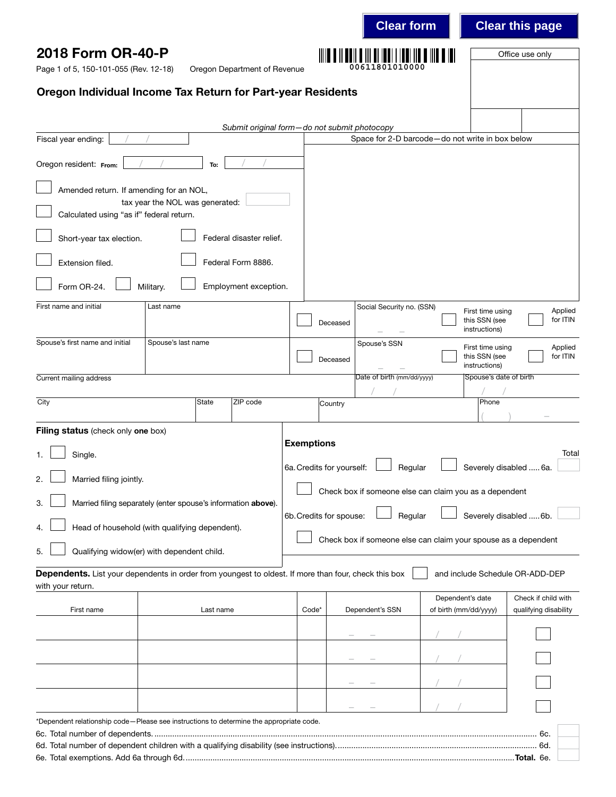|                                                                                                      |                                 |           |                                              |                           |          | <b>Clear form</b>                                              |                       |                                                    | <b>Clear this page</b>          |       |
|------------------------------------------------------------------------------------------------------|---------------------------------|-----------|----------------------------------------------|---------------------------|----------|----------------------------------------------------------------|-----------------------|----------------------------------------------------|---------------------------------|-------|
| 2018 Form OR-40-P<br>Page 1 of 5, 150-101-055 (Rev. 12-18)                                           |                                 |           | Oregon Department of Revenue                 |                           |          | 00611801010000                                                 |                       |                                                    | Office use only                 |       |
| Oregon Individual Income Tax Return for Part-year Residents                                          |                                 |           |                                              |                           |          |                                                                |                       |                                                    |                                 |       |
|                                                                                                      |                                 |           | Submit original form-do not submit photocopy |                           |          |                                                                |                       |                                                    |                                 |       |
| Fiscal year ending:                                                                                  |                                 |           |                                              |                           |          | Space for 2-D barcode-do not write in box below                |                       |                                                    |                                 |       |
| Oregon resident: From:                                                                               |                                 | To:       |                                              |                           |          |                                                                |                       |                                                    |                                 |       |
| Amended return. If amending for an NOL,<br>Calculated using "as if" federal return.                  | tax year the NOL was generated: |           |                                              |                           |          |                                                                |                       |                                                    |                                 |       |
| Short-year tax election.                                                                             |                                 |           | Federal disaster relief.                     |                           |          |                                                                |                       |                                                    |                                 |       |
| Extension filed.                                                                                     |                                 |           | Federal Form 8886.                           |                           |          |                                                                |                       |                                                    |                                 |       |
| Form OR-24.                                                                                          | Military.                       |           | Employment exception.                        |                           |          |                                                                |                       |                                                    |                                 |       |
| First name and initial                                                                               | Last name                       |           |                                              |                           | Deceased | Social Security no. (SSN)                                      |                       | First time using<br>this SSN (see<br>instructions) | Applied<br>for ITIN             |       |
| Spouse's first name and initial                                                                      | Spouse's last name              |           |                                              |                           | Deceased | Spouse's SSN                                                   |                       | First time using<br>this SSN (see<br>instructions) | Applied<br>for ITIN             |       |
| Current mailing address                                                                              |                                 |           |                                              |                           |          | Date of birth (mm/dd/yyyy)                                     |                       | Spouse's date of birth                             |                                 |       |
| City                                                                                                 |                                 | State     | ZIP code                                     |                           | Country  |                                                                |                       | Phone                                              |                                 |       |
| Filing status (check only one box)                                                                   |                                 |           |                                              | <b>Exemptions</b>         |          |                                                                |                       |                                                    |                                 |       |
| Single.<br>1.                                                                                        |                                 |           |                                              | 6a. Credits for yourself: |          | Regular                                                        |                       |                                                    | Severely disabled  6a.          | Total |
| Married filing jointly.<br>2.                                                                        |                                 |           |                                              |                           |          |                                                                |                       |                                                    |                                 |       |
| Married filing separately (enter spouse's information above).<br>3.                                  |                                 |           |                                              |                           |          | Check box if someone else can claim you as a dependent         |                       |                                                    |                                 |       |
| Head of household (with qualifying dependent).                                                       |                                 |           |                                              | 6b. Credits for spouse:   |          | Regular                                                        |                       |                                                    | Severely disabled  6b.          |       |
| Qualifying widow(er) with dependent child.<br>5.                                                     |                                 |           |                                              |                           |          | Check box if someone else can claim your spouse as a dependent |                       |                                                    |                                 |       |
| Dependents. List your dependents in order from youngest to oldest. If more than four, check this box |                                 |           |                                              |                           |          |                                                                |                       |                                                    | and include Schedule OR-ADD-DEP |       |
| with your return.                                                                                    |                                 |           |                                              |                           |          |                                                                | Dependent's date      |                                                    | Check if child with             |       |
| First name                                                                                           |                                 | Last name |                                              | Code*                     |          | Dependent's SSN                                                | of birth (mm/dd/yyyy) |                                                    | qualifying disability           |       |
|                                                                                                      |                                 |           |                                              |                           |          |                                                                |                       |                                                    |                                 |       |
|                                                                                                      |                                 |           |                                              |                           |          |                                                                |                       |                                                    |                                 |       |
|                                                                                                      |                                 |           |                                              |                           |          |                                                                |                       |                                                    |                                 |       |
|                                                                                                      |                                 |           |                                              |                           |          |                                                                |                       |                                                    |                                 |       |
| *Dependent relationship code-Please see instructions to determine the appropriate code.              |                                 |           |                                              |                           |          |                                                                |                       |                                                    | -6с.                            |       |
|                                                                                                      |                                 |           |                                              |                           |          |                                                                |                       |                                                    | 6d.                             |       |
|                                                                                                      |                                 |           |                                              |                           |          |                                                                |                       |                                                    |                                 |       |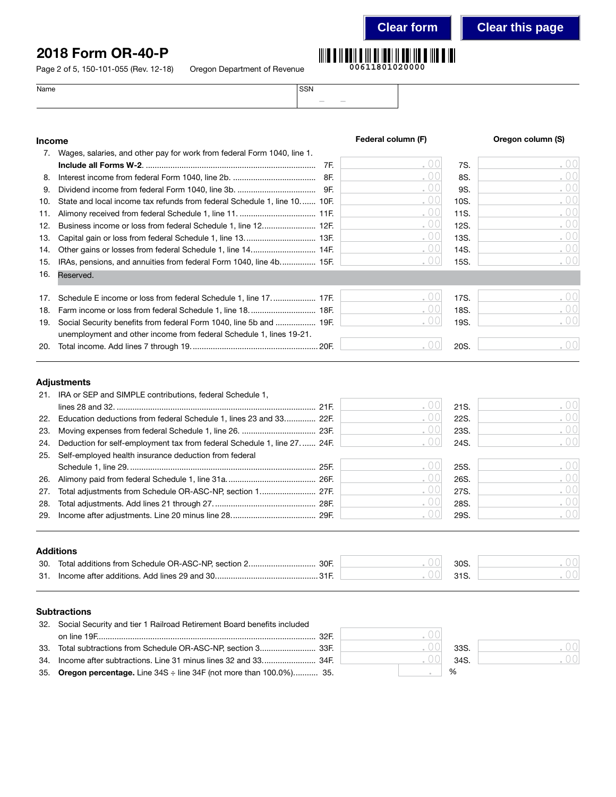# 2018 Form OR-40-P

Page 2 of 5, 150-101-055 (Rev. 12-18) Oregon Department of Revenue



– –

Name SSN

| <b>Income</b>                                 |                                                                                                                                                                                                                                                                                                                                       |     | Federal column (F)                           |                                                              | Oregon column (S)                                  |
|-----------------------------------------------|---------------------------------------------------------------------------------------------------------------------------------------------------------------------------------------------------------------------------------------------------------------------------------------------------------------------------------------|-----|----------------------------------------------|--------------------------------------------------------------|----------------------------------------------------|
|                                               |                                                                                                                                                                                                                                                                                                                                       |     |                                              |                                                              |                                                    |
| 7.                                            | Wages, salaries, and other pay for work from federal Form 1040, line 1.                                                                                                                                                                                                                                                               | 7F. | 00                                           | 7S.                                                          | . $00$                                             |
|                                               |                                                                                                                                                                                                                                                                                                                                       | 8F. | 00                                           | 8S.                                                          | .00                                                |
| 8.<br>9.                                      |                                                                                                                                                                                                                                                                                                                                       | 9F. | 00                                           | 9S.                                                          | .00                                                |
|                                               | State and local income tax refunds from federal Schedule 1, line 10 10F.                                                                                                                                                                                                                                                              |     | 00                                           | 10S.                                                         | .00                                                |
| 10.                                           |                                                                                                                                                                                                                                                                                                                                       |     | 00                                           | 11S.                                                         | .00                                                |
| 11.                                           | Business income or loss from federal Schedule 1, line 12 12F.                                                                                                                                                                                                                                                                         |     | 00                                           | 12S.                                                         | .00                                                |
| 12.                                           |                                                                                                                                                                                                                                                                                                                                       |     | 00                                           | 13S.                                                         | .00                                                |
| 13.                                           |                                                                                                                                                                                                                                                                                                                                       |     | 00                                           | 14S.                                                         | .00                                                |
| 14.                                           | Other gains or losses from federal Schedule 1, line 14 14F.                                                                                                                                                                                                                                                                           |     | 00                                           | 15S.                                                         | .00                                                |
| 15.                                           | IRAs, pensions, and annuities from federal Form 1040, line 4b 15F.                                                                                                                                                                                                                                                                    |     |                                              |                                                              |                                                    |
| 16.                                           | Reserved.                                                                                                                                                                                                                                                                                                                             |     |                                              |                                                              |                                                    |
| 17.                                           | Schedule E income or loss from federal Schedule 1, line 17 17F.                                                                                                                                                                                                                                                                       |     | 00                                           | 17S.                                                         | .00                                                |
| 18.                                           | Farm income or loss from federal Schedule 1, line 18.  18F.                                                                                                                                                                                                                                                                           |     | 00                                           | 18S.                                                         | .00                                                |
| 19.                                           | Social Security benefits from federal Form 1040, line 5b and  19F.                                                                                                                                                                                                                                                                    |     | 00                                           | 19S.                                                         | 00                                                 |
|                                               | unemployment and other income from federal Schedule 1, lines 19-21.                                                                                                                                                                                                                                                                   |     |                                              |                                                              |                                                    |
| 20.                                           |                                                                                                                                                                                                                                                                                                                                       |     | 00                                           | 20S.                                                         | 00                                                 |
| 22.<br>23.<br>24.<br>25.<br>26.<br>27.<br>28. | 21. IRA or SEP and SIMPLE contributions, federal Schedule 1,<br>Education deductions from federal Schedule 1, lines 23 and 33 22F.<br>Deduction for self-employment tax from federal Schedule 1, line 27.  24F.<br>Self-employed health insurance deduction from federal<br>Total adjustments from Schedule OR-ASC-NP, section 1 27F. |     | 00<br>00<br>00<br>00<br>00<br>00<br>00<br>00 | 21S.<br>22S.<br>23S.<br>24S.<br>25S.<br>26S.<br>27S.<br>28S. | 00<br>.00<br>.00<br>00<br>.00<br>.00<br>.00<br>.00 |
| 29.                                           | <b>Additions</b><br>30. Total additions from Schedule OR-ASC-NP, section 2 30F.                                                                                                                                                                                                                                                       |     | 00<br>00                                     | 29S.<br>30S.                                                 | .00<br>00                                          |
|                                               |                                                                                                                                                                                                                                                                                                                                       |     | . $00$                                       | 315.                                                         |                                                    |
|                                               | <b>Subtractions</b>                                                                                                                                                                                                                                                                                                                   |     |                                              |                                                              |                                                    |
|                                               | 32. Social Security and tier 1 Railroad Retirement Board benefits included                                                                                                                                                                                                                                                            |     | 00                                           |                                                              |                                                    |
| 33.                                           | Total subtractions from Schedule OR-ASC-NP, section 3 33F.                                                                                                                                                                                                                                                                            |     | 00                                           | 33S.                                                         | 00                                                 |
| 34.                                           | Income after subtractions. Line 31 minus lines 32 and 33 34F.                                                                                                                                                                                                                                                                         |     | 00                                           | 34S.                                                         | . $00$                                             |

35. Oregon percentage. Line 34S ÷ line 34F (not more than 100.0%)........... 35.

% .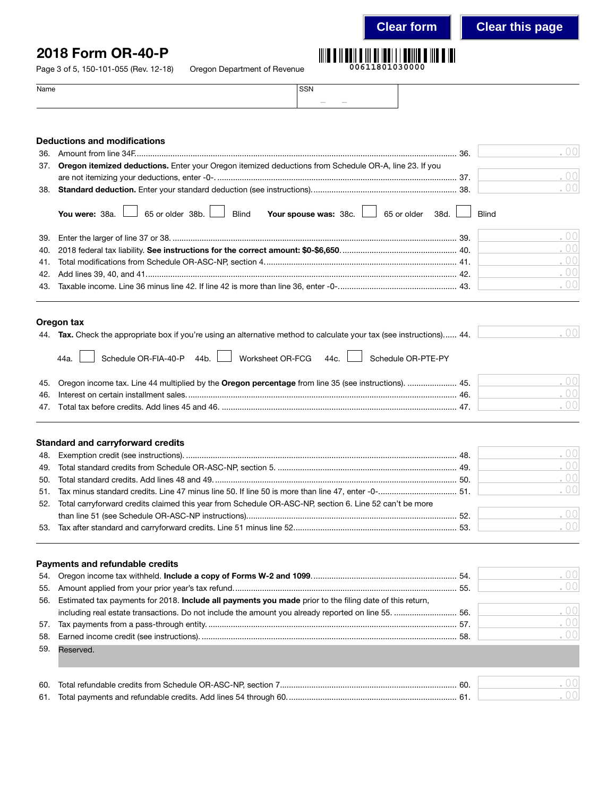**Clear form Clear this page**

# 2018 Form OR-40-P

Page 3 of 5, 150-101-055 (Rev. 12-18) Oregon Depa

| rtment of Revenue | 00611801030000 |
|-------------------|----------------|

| Name | SSN    |
|------|--------|
|      | $\sim$ |

|                                 | <b>Deductions and modifications</b>                                                                                                                |              |                        |
|---------------------------------|----------------------------------------------------------------------------------------------------------------------------------------------------|--------------|------------------------|
| 36.                             |                                                                                                                                                    |              | 00                     |
| 37.                             | Oregon itemized deductions. Enter your Oregon itemized deductions from Schedule OR-A, line 23. If you                                              |              |                        |
|                                 |                                                                                                                                                    |              | . $00$                 |
|                                 |                                                                                                                                                    |              | 00                     |
|                                 | 65 or older $38b.$<br><b>Blind</b><br>Your spouse was: 38c.<br>65 or older 38d.<br>You were: 38a.                                                  | <b>Blind</b> |                        |
| 39.                             |                                                                                                                                                    |              | .00                    |
| 40.                             |                                                                                                                                                    |              | 00                     |
| 41.                             |                                                                                                                                                    |              | 00                     |
| 42.                             |                                                                                                                                                    |              | .00                    |
| 43.                             |                                                                                                                                                    |              | .00                    |
|                                 | Oregon tax                                                                                                                                         |              | .00                    |
|                                 | 44. Tax. Check the appropriate box if you're using an alternative method to calculate your tax (see instructions) 44.                              |              |                        |
|                                 | Worksheet OR-FCG<br>Schedule OR-FIA-40-P 44b.<br>44c.<br>Schedule OR-PTE-PY<br>44a.                                                                |              |                        |
| 45.                             | Oregon income tax. Line 44 multiplied by the Oregon percentage from line 35 (see instructions).  45.                                               |              | .00                    |
| 46.                             |                                                                                                                                                    |              | 00                     |
| 47.                             |                                                                                                                                                    |              | . $00$                 |
|                                 |                                                                                                                                                    |              |                        |
| 48.<br>49.<br>50.<br>51.<br>52. | <b>Standard and carryforward credits</b><br>Total carryforward credits claimed this year from Schedule OR-ASC-NP, section 6. Line 52 can't be more |              | .00<br>00<br>00<br>.00 |
|                                 |                                                                                                                                                    |              | .00<br>.00             |
| 54.                             | <b>Payments and refundable credits</b>                                                                                                             |              | . $00$                 |
| 55.                             |                                                                                                                                                    |              | 00                     |
| 56.                             | Estimated tax payments for 2018. Include all payments you made prior to the filing date of this return,                                            |              |                        |
|                                 | including real estate transactions. Do not include the amount you already reported on line 55.  56.                                                |              | 00                     |
| 57.                             |                                                                                                                                                    |              | .00                    |
| 58.<br>59.                      | Reserved.                                                                                                                                          |              | . $00$                 |
|                                 |                                                                                                                                                    |              |                        |
| 60.                             |                                                                                                                                                    |              | .00                    |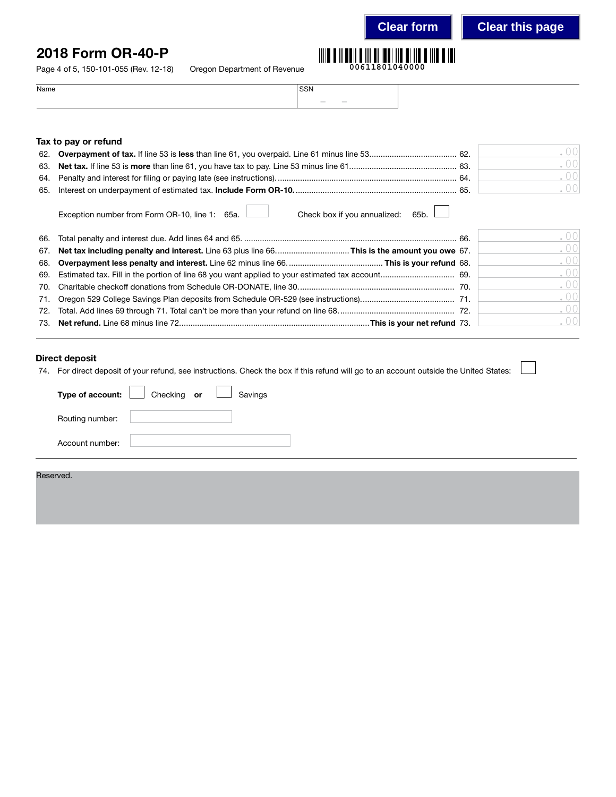**00611801040000**

**Clear form Clear this page**

# 2018 Form OR-40-P

Page 4 of 5, 150-101-055 (Rev. 12-18)

| Oregon Department of Revenue |  |
|------------------------------|--|
|------------------------------|--|

| Name | SSN |        |        |  |
|------|-----|--------|--------|--|
|      |     | $\sim$ | $\sim$ |  |

## Tax to pay or refund

|     | ()() |
|-----|------|
|     | 001  |
| -64 | 001  |
|     | 001  |

Exception number from Form OR-10, line 1: 65a. Check box if you annualized: 65b.

|  | .00 |
|--|-----|
|  | .00 |
|  | .00 |
|  | .00 |
|  | .00 |
|  | .00 |
|  | .00 |
|  | .00 |

## Direct deposit

74. For direct deposit of your refund, see instructions. Check the box if this refund will go to an account outside the United States:

|                 | <b>Type of account:</b> $\boxed{\phantom{a}}$ Checking or | Savings |  |  |
|-----------------|-----------------------------------------------------------|---------|--|--|
| Routing number: |                                                           |         |  |  |
| Account number: |                                                           |         |  |  |
| Reserved.       |                                                           |         |  |  |